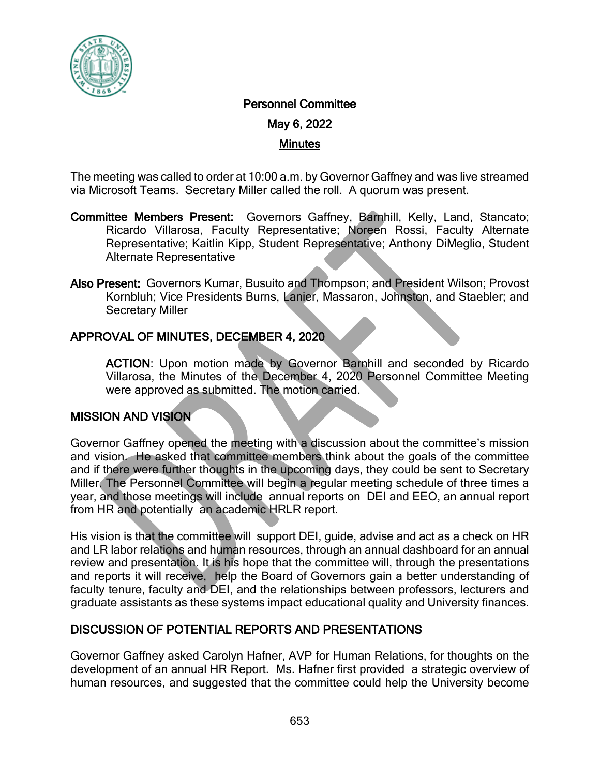

# Personnel Committee

May 6, 2022

#### Minutes

The meeting was called to order at 10:00 a.m. by Governor Gaffney and was live streamed via Microsoft Teams. Secretary Miller called the roll. A quorum was present.

- Committee Members Present: Governors Gaffney, Barnhill, Kelly, Land, Stancato; Ricardo Villarosa, Faculty Representative; Noreen Rossi, Faculty Alternate Representative; Kaitlin Kipp, Student Representative; Anthony DiMeglio, Student Alternate Representative
- Also Present: Governors Kumar, Busuito and Thompson; and President Wilson; Provost Kornbluh; Vice Presidents Burns, Lanier, Massaron, Johnston, and Staebler; and Secretary Miller

## APPROVAL OF MINUTES, DECEMBER 4, 2020

ACTION: Upon motion made by Governor Barnhill and seconded by Ricardo Villarosa, the Minutes of the December 4, 2020 Personnel Committee Meeting were approved as submitted. The motion carried.

## MISSION AND VISION

Governor Gaffney opened the meeting with a discussion about the committee's mission and vision. He asked that committee members think about the goals of the committee and if there were further thoughts in the upcoming days, they could be sent to Secretary Miller. The Personnel Committee will begin a regular meeting schedule of three times a year, and those meetings will include annual reports on DEI and EEO, an annual report from HR and potentially an academic HRLR report.

His vision is that the committee will support DEI, guide, advise and act as a check on HR and LR labor relations and human resources, through an annual dashboard for an annual review and presentation. It is his hope that the committee will, through the presentations and reports it will receive, help the Board of Governors gain a better understanding of faculty tenure, faculty and DEI, and the relationships between professors, lecturers and graduate assistants as these systems impact educational quality and University finances.

#### DISCUSSION OF POTENTIAL REPORTS AND PRESENTATIONS

Governor Gaffney asked Carolyn Hafner, AVP for Human Relations, for thoughts on the development of an annual HR Report. Ms. Hafner first provided a strategic overview of human resources, and suggested that the committee could help the University become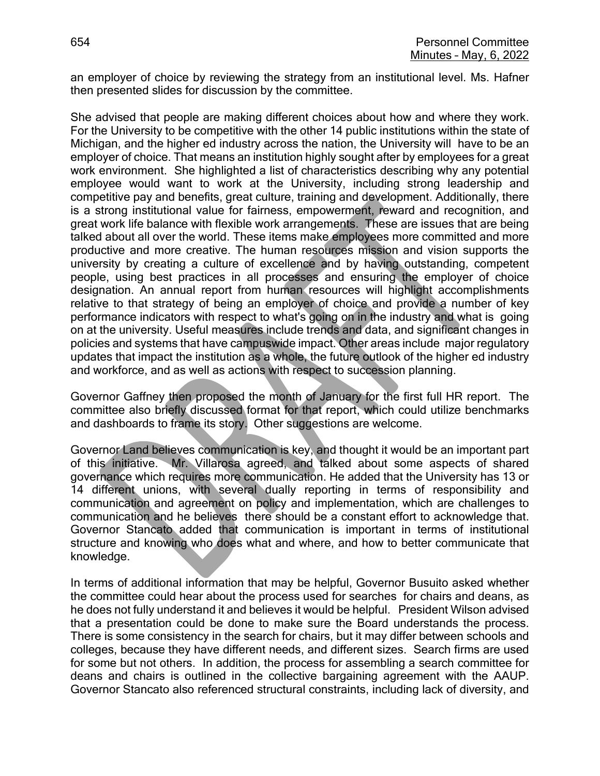an employer of choice by reviewing the strategy from an institutional level. Ms. Hafner then presented slides for discussion by the committee.

She advised that people are making different choices about how and where they work. For the University to be competitive with the other 14 public institutions within the state of Michigan, and the higher ed industry across the nation, the University will have to be an employer of choice. That means an institution highly sought after by employees for a great work environment. She highlighted a list of characteristics describing why any potential employee would want to work at the University, including strong leadership and competitive pay and benefits, great culture, training and development. Additionally, there is a strong institutional value for fairness, empowerment, reward and recognition, and great work life balance with flexible work arrangements. These are issues that are being talked about all over the world. These items make employees more committed and more productive and more creative. The human resources mission and vision supports the university by creating a culture of excellence and by having outstanding, competent people, using best practices in all processes and ensuring the employer of choice designation. An annual report from human resources will highlight accomplishments relative to that strategy of being an employer of choice and provide a number of key performance indicators with respect to what's going on in the industry and what is going on at the university. Useful measures include trends and data, and significant changes in policies and systems that have campuswide impact. Other areas include major regulatory updates that impact the institution as a whole, the future outlook of the higher ed industry and workforce, and as well as actions with respect to succession planning.

Governor Gaffney then proposed the month of January for the first full HR report. The committee also briefly discussed format for that report, which could utilize benchmarks and dashboards to frame its story. Other suggestions are welcome.

Governor Land believes communication is key, and thought it would be an important part of this initiative. Mr. Villarosa agreed, and talked about some aspects of shared governance which requires more communication. He added that the University has 13 or 14 different unions, with several dually reporting in terms of responsibility and communication and agreement on policy and implementation, which are challenges to communication and he believes there should be a constant effort to acknowledge that. Governor Stancato added that communication is important in terms of institutional structure and knowing who does what and where, and how to better communicate that knowledge.

In terms of additional information that may be helpful, Governor Busuito asked whether the committee could hear about the process used for searches for chairs and deans, as he does not fully understand it and believes it would be helpful. President Wilson advised that a presentation could be done to make sure the Board understands the process. There is some consistency in the search for chairs, but it may differ between schools and colleges, because they have different needs, and different sizes. Search firms are used for some but not others. In addition, the process for assembling a search committee for deans and chairs is outlined in the collective bargaining agreement with the AAUP. Governor Stancato also referenced structural constraints, including lack of diversity, and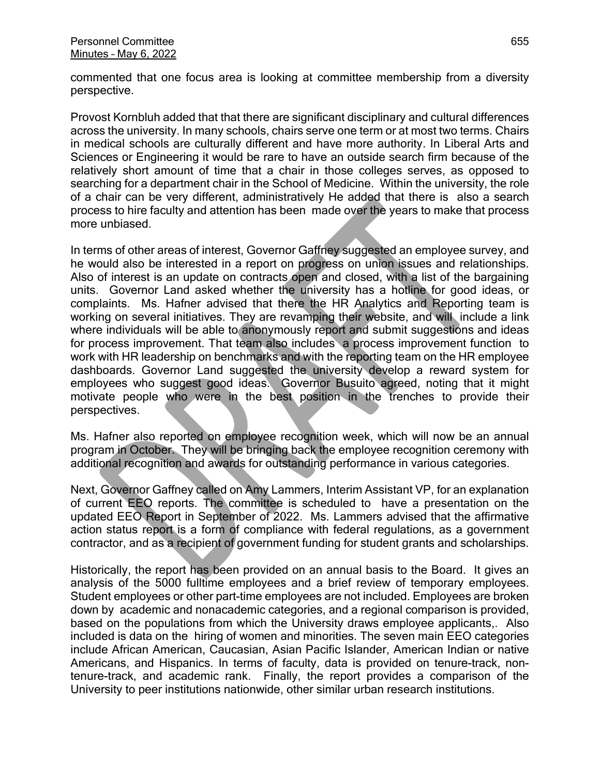commented that one focus area is looking at committee membership from a diversity perspective.

Provost Kornbluh added that that there are significant disciplinary and cultural differences across the university. In many schools, chairs serve one term or at most two terms. Chairs in medical schools are culturally different and have more authority. In Liberal Arts and Sciences or Engineering it would be rare to have an outside search firm because of the relatively short amount of time that a chair in those colleges serves, as opposed to searching for a department chair in the School of Medicine. Within the university, the role of a chair can be very different, administratively He added that there is also a search process to hire faculty and attention has been made over the years to make that process more unbiased.

In terms of other areas of interest, Governor Gaffney suggested an employee survey, and he would also be interested in a report on progress on union issues and relationships. Also of interest is an update on contracts open and closed, with a list of the bargaining units. Governor Land asked whether the university has a hotline for good ideas, or complaints. Ms. Hafner advised that there the HR Analytics and Reporting team is working on several initiatives. They are revamping their website, and will include a link where individuals will be able to anonymously report and submit suggestions and ideas for process improvement. That team also includes a process improvement function to work with HR leadership on benchmarks and with the reporting team on the HR employee dashboards. Governor Land suggested the university develop a reward system for employees who suggest good ideas. Governor Busuito agreed, noting that it might motivate people who were in the best position in the trenches to provide their perspectives.

Ms. Hafner also reported on employee recognition week, which will now be an annual program in October. They will be bringing back the employee recognition ceremony with additional recognition and awards for outstanding performance in various categories.

Next, Governor Gaffney called on Amy Lammers, Interim Assistant VP, for an explanation of current EEO reports. The committee is scheduled to have a presentation on the updated EEO Report in September of 2022. Ms. Lammers advised that the affirmative action status report is a form of compliance with federal regulations, as a government contractor, and as a recipient of government funding for student grants and scholarships.

Historically, the report has been provided on an annual basis to the Board. It gives an analysis of the 5000 fulltime employees and a brief review of temporary employees. Student employees or other part-time employees are not included. Employees are broken down by academic and nonacademic categories, and a regional comparison is provided, based on the populations from which the University draws employee applicants,. Also included is data on the hiring of women and minorities. The seven main EEO categories include African American, Caucasian, Asian Pacific Islander, American Indian or native Americans, and Hispanics. In terms of faculty, data is provided on tenure-track, nontenure-track, and academic rank. Finally, the report provides a comparison of the University to peer institutions nationwide, other similar urban research institutions.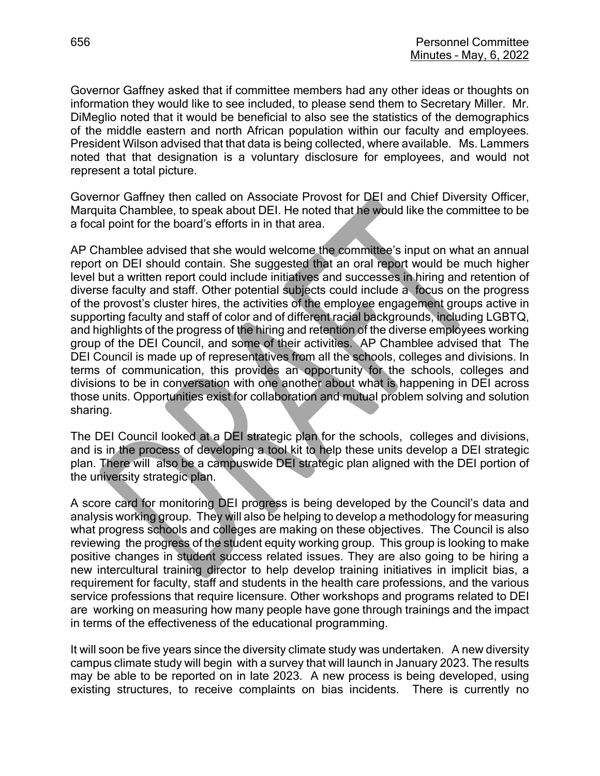Governor Gaffney asked that if committee members had any other ideas or thoughts on information they would like to see included, to please send them to Secretary Miller. Mr. DiMeglio noted that it would be beneficial to also see the statistics of the demographics of the middle eastern and north African population within our faculty and employees. President Wilson advised that that data is being collected, where available. Ms. Lammers noted that that designation is a voluntary disclosure for employees, and would not represent a total picture.

Governor Gaffney then called on Associate Provost for DEI and Chief Diversity Officer, Marquita Chamblee, to speak about DEI. He noted that he would like the committee to be a focal point for the board's efforts in in that area.

AP Chamblee advised that she would welcome the committee's input on what an annual report on DEI should contain. She suggested that an oral report would be much higher level but a written report could include initiatives and successes in hiring and retention of diverse faculty and staff. Other potential subjects could include a focus on the progress of the provost's cluster hires, the activities of the employee engagement groups active in supporting faculty and staff of color and of different racial backgrounds, including LGBTQ, and highlights of the progress of the hiring and retention of the diverse employees working group of the DEI Council, and some of their activities. AP Chamblee advised that The DEI Council is made up of representatives from all the schools, colleges and divisions. In terms of communication, this provides an opportunity for the schools, colleges and divisions to be in conversation with one another about what is happening in DEI across those units. Opportunities exist for collaboration and mutual problem solving and solution sharing.

The DEI Council looked at a DEI strategic plan for the schools, colleges and divisions, and is in the process of developing a tool kit to help these units develop a DEI strategic plan. There will also be a campuswide DEI strategic plan aligned with the DEI portion of the university strategic plan.

A score card for monitoring DEI progress is being developed by the Council's data and analysis working group. They will also be helping to develop a methodology for measuring what progress schools and colleges are making on these objectives. The Council is also reviewing the progress of the student equity working group. This group is looking to make positive changes in student success related issues. They are also going to be hiring a new intercultural training director to help develop training initiatives in implicit bias, a requirement for faculty, staff and students in the health care professions, and the various service professions that require licensure. Other workshops and programs related to DEI are working on measuring how many people have gone through trainings and the impact in terms of the effectiveness of the educational programming.

It will soon be five years since the diversity climate study was undertaken. A new diversity campus climate study will begin with a survey that will launch in January 2023. The results may be able to be reported on in late 2023. A new process is being developed, using existing structures, to receive complaints on bias incidents. There is currently no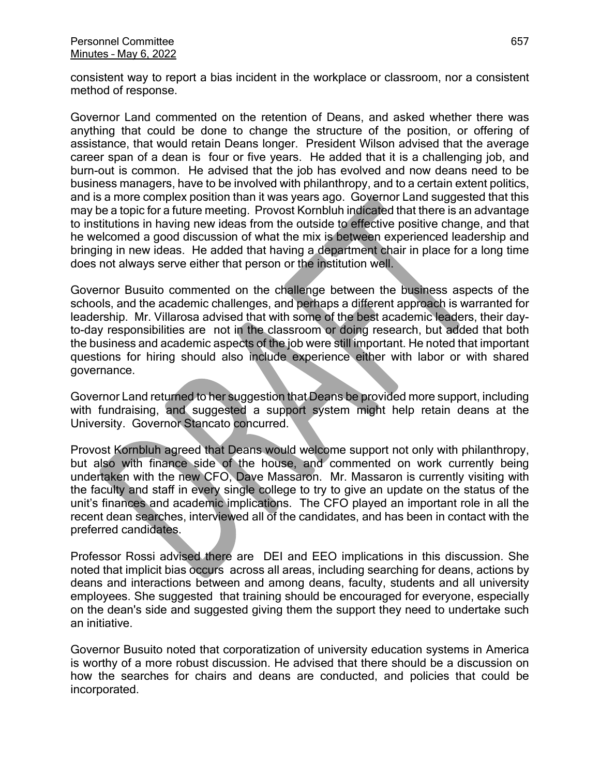consistent way to report a bias incident in the workplace or classroom, nor a consistent method of response.

Governor Land commented on the retention of Deans, and asked whether there was anything that could be done to change the structure of the position, or offering of assistance, that would retain Deans longer. President Wilson advised that the average career span of a dean is four or five years. He added that it is a challenging job, and burn-out is common. He advised that the job has evolved and now deans need to be business managers, have to be involved with philanthropy, and to a certain extent politics, and is a more complex position than it was years ago. Governor Land suggested that this may be a topic for a future meeting. Provost Kornbluh indicated that there is an advantage to institutions in having new ideas from the outside to effective positive change, and that he welcomed a good discussion of what the mix is between experienced leadership and bringing in new ideas. He added that having a department chair in place for a long time does not always serve either that person or the institution well.

Governor Busuito commented on the challenge between the business aspects of the schools, and the academic challenges, and perhaps a different approach is warranted for leadership. Mr. Villarosa advised that with some of the best academic leaders, their dayto-day responsibilities are not in the classroom or doing research, but added that both the business and academic aspects of the job were still important. He noted that important questions for hiring should also include experience either with labor or with shared governance.

Governor Land returned to her suggestion that Deans be provided more support, including with fundraising, and suggested a support system might help retain deans at the University. Governor Stancato concurred.

Provost Kornbluh agreed that Deans would welcome support not only with philanthropy, but also with finance side of the house, and commented on work currently being undertaken with the new CFO, Dave Massaron. Mr. Massaron is currently visiting with the faculty and staff in every single college to try to give an update on the status of the unit's finances and academic implications. The CFO played an important role in all the recent dean searches, interviewed all of the candidates, and has been in contact with the preferred candidates.

Professor Rossi advised there are DEI and EEO implications in this discussion. She noted that implicit bias occurs across all areas, including searching for deans, actions by deans and interactions between and among deans, faculty, students and all university employees. She suggested that training should be encouraged for everyone, especially on the dean's side and suggested giving them the support they need to undertake such an initiative.

Governor Busuito noted that corporatization of university education systems in America is worthy of a more robust discussion. He advised that there should be a discussion on how the searches for chairs and deans are conducted, and policies that could be incorporated.